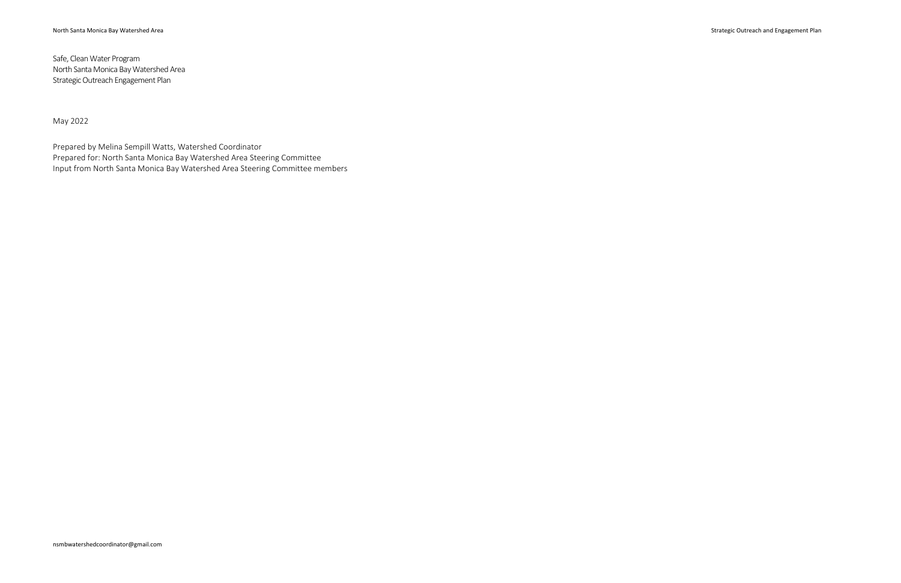Safe, Clean Water Program North Santa Monica Bay Watershed Area Strategic Outreach Engagement Plan

May 2022

Prepared by Melina Sempill Watts, Watershed Coordinator Prepared for: North Santa Monica Bay Watershed Area Steering Committee Input from North Santa Monica Bay Watershed Area Steering Committee members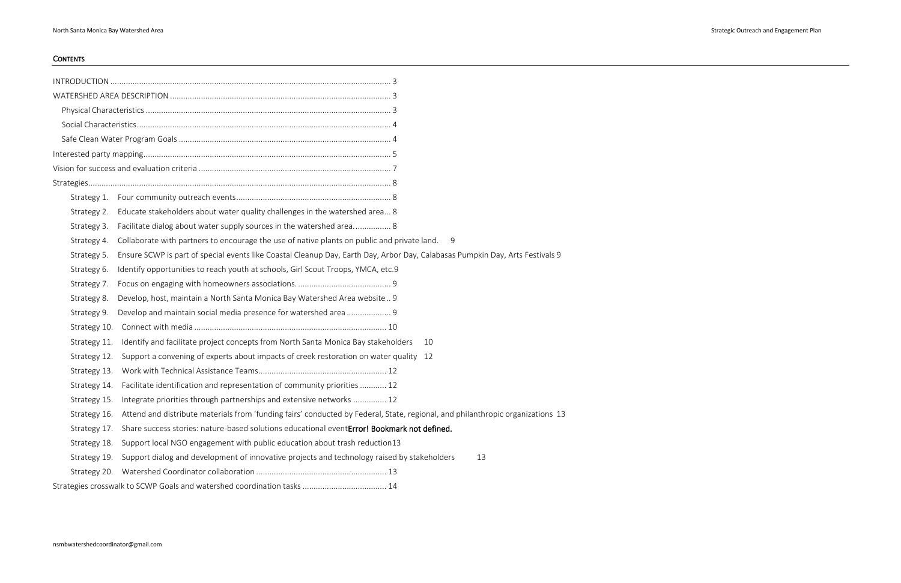## **CONTENTS**

| Strategy 2. Educate stakeholders about water quality challenges in the watershed area 8                                                        |  |
|------------------------------------------------------------------------------------------------------------------------------------------------|--|
| Facilitate dialog about water supply sources in the watershed area 8<br>Strategy 3.                                                            |  |
| Collaborate with partners to encourage the use of native plants on public and private land.<br>Strategy 4.<br>- 9                              |  |
| Ensure SCWP is part of special events like Coastal Cleanup Day, Earth Day, Arbor Day, Calabasas Pumpkin Day, Arts Festivals 9<br>Strategy 5.   |  |
| Identify opportunities to reach youth at schools, Girl Scout Troops, YMCA, etc.9<br>Strategy 6.                                                |  |
| Strategy 7.                                                                                                                                    |  |
| Develop, host, maintain a North Santa Monica Bay Watershed Area website 9<br>Strategy 8.                                                       |  |
| Develop and maintain social media presence for watershed area 9<br>Strategy 9.                                                                 |  |
| Strategy 10.                                                                                                                                   |  |
| Identify and facilitate project concepts from North Santa Monica Bay stakeholders<br>Strategy 11.<br>10                                        |  |
| Support a convening of experts about impacts of creek restoration on water quality 12<br>Strategy 12.                                          |  |
|                                                                                                                                                |  |
| Strategy 14. Facilitate identification and representation of community priorities  12                                                          |  |
| Strategy 15. Integrate priorities through partnerships and extensive networks  12                                                              |  |
| Attend and distribute materials from 'funding fairs' conducted by Federal, State, regional, and philanthropic organizations 13<br>Strategy 16. |  |
| Share success stories: nature-based solutions educational eventError! Bookmark not defined.<br>Strategy 17.                                    |  |
| Support local NGO engagement with public education about trash reduction13<br>Strategy 18.                                                     |  |
| Support dialog and development of innovative projects and technology raised by stakeholders<br>13<br>Strategy 19.                              |  |
|                                                                                                                                                |  |
|                                                                                                                                                |  |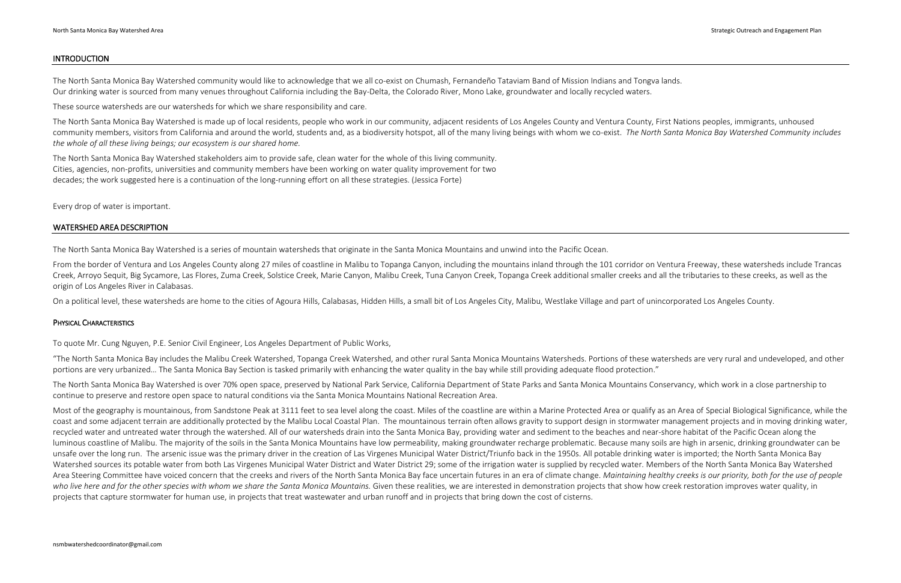## <span id="page-2-0"></span>INTRODUCTION

The North Santa Monica Bay Watershed community would like to acknowledge that we all co-exist on Chumash, Fernandeño Tataviam Band of Mission Indians and Tongva lands. Our drinking water is sourced from many venues throughout California including the Bay-Delta, the Colorado River, Mono Lake, groundwater and locally recycled waters.

These source watersheds are our watersheds for which we share responsibility and care.

The North Santa Monica Bay Watershed is made up of local residents, people who work in our community, adjacent residents of Los Angeles County and Ventura County, First Nations peoples, immigrants, unhoused community members, visitors from California and around the world, students and, as a biodiversity hotspot, all of the many living beings with whom we co-exist. *The North Santa Monica Bay Watershed Community includes the whole of all these living beings; our ecosystem is our shared home.*

From the border of Ventura and Los Angeles County along 27 miles of coastline in Malibu to Topanga Canyon, including the mountains inland through the 101 corridor on Ventura Freeway, these watersheds include Trancas Creek, Arroyo Sequit, Big Sycamore, Las Flores, Zuma Creek, Solstice Creek, Marie Canyon, Malibu Creek, Tuna Canyon Creek, Topanga Creek additional smaller creeks and all the tributaries to these creeks, as well as the origin of Los Angeles River in Calabasas.

"The North Santa Monica Bay includes the Malibu Creek Watershed, Topanga Creek Watershed, and other rural Santa Monica Mountains Watersheds. Portions of these watersheds are very rural and undeveloped, and other portions are very urbanized... The Santa Monica Bay Section is tasked primarily with enhancing the water quality in the bay while still providing adequate flood protection."

The North Santa Monica Bay Watershed stakeholders aim to provide safe, clean water for the whole of this living community. Cities, agencies, non-profits, universities and community members have been working on water quality improvement for two decades; the work suggested here is a continuation of the long-running effort on all these strategies. (Jessica Forte)

Every drop of water is important.

## <span id="page-2-1"></span>WATERSHED AREA DESCRIPTION

The North Santa Monica Bay Watershed is a series of mountain watersheds that originate in the Santa Monica Mountains and unwind into the Pacific Ocean.

On a political level, these watersheds are home to the cities of Agoura Hills, Calabasas, Hidden Hills, a small bit of Los Angeles City, Malibu, Westlake Village and part of unincorporated Los Angeles County.

## <span id="page-2-2"></span>PHYSICAL CHARACTERISTICS

To quote Mr. Cung Nguyen, P.E. Senior Civil Engineer, Los Angeles Department of Public Works,

Most of the geography is mountainous, from Sandstone Peak at 3111 feet to sea level along the coast. Miles of the coastline are within a Marine Protected Area or qualify as an Area of Special Biological Significance, while coast and some adjacent terrain are additionally protected by the Malibu Local Coastal Plan. The mountainous terrain often allows gravity to support design in stormwater management projects and in moving drinking water, recycled water and untreated water through the watershed. All of our watersheds drain into the Santa Monica Bay, providing water and sediment to the beaches and near-shore habitat of the Pacific Ocean along the luminous coastline of Malibu. The majority of the soils in the Santa Monica Mountains have low permeability, making groundwater recharge problematic. Because many soils are high in arsenic, drinking groundwater can be unsafe over the long run. The arsenic issue was the primary driver in the creation of Las Virgenes Municipal Water District/Triunfo back in the 1950s. All potable drinking water is imported; the North Santa Monica Bay Watershed sources its potable water from both Las Virgenes Municipal Water District and Water District 29; some of the irrigation water is supplied by recycled water. Members of the North Santa Monica Bay Watershed Area Steering Committee have voiced concern that the creeks and rivers of the North Santa Monica Bay face uncertain futures in an era of climate change. Maintaining healthy creeks is our priority, both for the use of peopl who live here and for the other species with whom we share the Santa Monica Mountains. Given these realities, we are interested in demonstration projects that show how creek restoration improves water quality, in projects that capture stormwater for human use, in projects that treat wastewater and urban runoff and in projects that bring down the cost of cisterns.

The North Santa Monica Bay Watershed is over 70% open space, preserved by National Park Service, California Department of State Parks and Santa Monica Mountains Conservancy, which work in a close partnership to continue to preserve and restore open space to natural conditions via the Santa Monica Mountains National Recreation Area.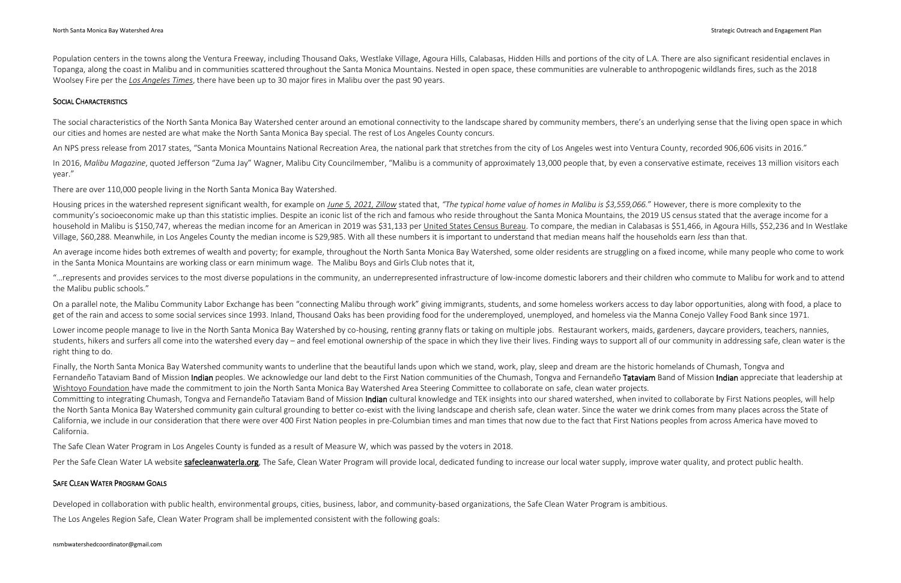Population centers in the towns along the Ventura Freeway, including Thousand Oaks, Westlake Village, Agoura Hills, Calabasas, Hidden Hills and portions of the city of L.A. There are also significant residential enclaves i Topanga, along the coast in Malibu and in communities scattered throughout the Santa Monica Mountains. Nested in open space, these communities are vulnerable to anthropogenic wildlands fires, such as the 2018 Woolsey Fire per the *[Los Angeles Times](https://www.latimes.com/projects/la-me-malibu-wildfire-history/)*, there have been up to 30 major fires in Malibu over the past 90 years.

## <span id="page-3-0"></span>SOCIAL CHARACTERISTICS

The social characteristics of the North Santa Monica Bay Watershed center around an emotional connectivity to the landscape shared by community members, there's an underlying sense that the living open space in which our cities and homes are nested are what make the North Santa Monica Bay special. The rest of Los Angeles County concurs.

An NPS press release from 2017 states, "Santa Monica Mountains National Recreation Area, the national park that stretches from the city of Los Angeles west into Ventura County, recorded 906,606 visits in 2016."

Housing prices in the watershed represent significant wealth, for example on [June 5, 2021,](https://www.zillow.com/malibu-ca/home-values/) [Zillow](https://www.zillow.com/malibu-ca/home-values/) stated that, "The typical home value of homes in Malibu is \$3,559,066." However, there is more complexity to the community's socioeconomic make up than this statistic implies. Despite an iconic list of the rich and famous who reside throughout the Santa Monica Mountains, the 2019 US census stated that the average income for a household in Malibu is \$150,747, whereas the median income for an American in 2019 was \$31,133 per [United States Census Bureau.](https://www.census.gov/data/developers/data-sets/acs-5year.html) To compare, the median in Calabasas is \$51,466, in Agoura Hills, \$52,236 and In Westlake Village, \$60,288. Meanwhile, in Los Angeles County the median income is S29,985. With all these numbers it is important to understand that median means half the households earn *less* than that.

In 2016, *Malibu Magazine*, quoted Jefferson "Zuma Jay" Wagner, Malibu City Councilmember, "Malibu is a community of approximately 13,000 people that, by even a conservative estimate, receives 13 million visitors each year."

There are over 110,000 people living in the North Santa Monica Bay Watershed.

Lower income people manage to live in the North Santa Monica Bay Watershed by co-housing, renting granny flats or taking on multiple jobs. Restaurant workers, maids, gardeners, daycare providers, teachers, nannies, students, hikers and surfers all come into the watershed every day – and feel emotional ownership of the space in which they live their lives. Finding ways to support all of our community in addressing safe, clean water is right thing to do.

An average income hides both extremes of wealth and poverty; for example, throughout the North Santa Monica Bay Watershed, some older residents are struggling on a fixed income, while many people who come to work in the Santa Monica Mountains are working class or earn minimum wage. The Malibu Boys and Girls Club notes that it,

"…represents and provides services to the most diverse populations in the community, an underrepresented infrastructure of low-income domestic laborers and their children who commute to Malibu for work and to attend the Malibu public schools."

On a parallel note, the Malibu Community Labor Exchange has been "connecting Malibu through work" giving immigrants, students, and some homeless workers access to day labor opportunities, along with food, a place to get of the rain and access to some social services since 1993. Inland, Thousand Oaks has been providing food for the underemployed, unemployed, and homeless via the Manna Conejo Valley Food Bank since 1971.

Developed in collaboration with public health, environmental groups, cities, business, labor, and community-based organizations, the Safe Clean Water Program is ambitious. The Los Angeles Region Safe, Clean Water Program shall be implemented consistent with the following goals:

Finally, the North Santa Monica Bay Watershed community wants to underline that the beautiful lands upon which we stand, work, play, sleep and dream are the historic homelands of Chumash, Tongva and Fernandeño Tataviam Band of Mission Indian peoples. We acknowledge our land debt to the First Nation communities of the Chumash, Tongva and Fernandeño Tataviam Band of Mission Indian appreciate that leadership at [Wishtoyo Foundation h](https://www.wishtoyo.org/)ave made the commitment to join the North Santa Monica Bay Watershed Area Steering Committee to collaborate on safe, clean water projects. Committing to integrating Chumash, Tongva and Fernandeño Tataviam Band of Mission Indian cultural knowledge and TEK insights into our shared watershed, when invited to collaborate by First Nations peoples, will help the North Santa Monica Bay Watershed community gain cultural grounding to better co-exist with the living landscape and cherish safe, clean water. Since the water we drink comes from many places across the State of California, we include in our consideration that there were over 400 First Nation peoples in pre-Columbian times and man times that now due to the fact that First Nations peoples from across America have moved to California.

The Safe Clean Water Program in Los Angeles County is funded as a result of Measure W, which was passed by the voters in 2018.

Per the Safe Clean Water LA website [safecleanwaterla.org,](https://safecleanwaterla.org/T) The Safe, Clean Water Program will provide local, dedicated funding to increase our local water supply, improve water quality, and protect public health.

## <span id="page-3-1"></span>SAFE CLEAN WATER PROGRAM GOALS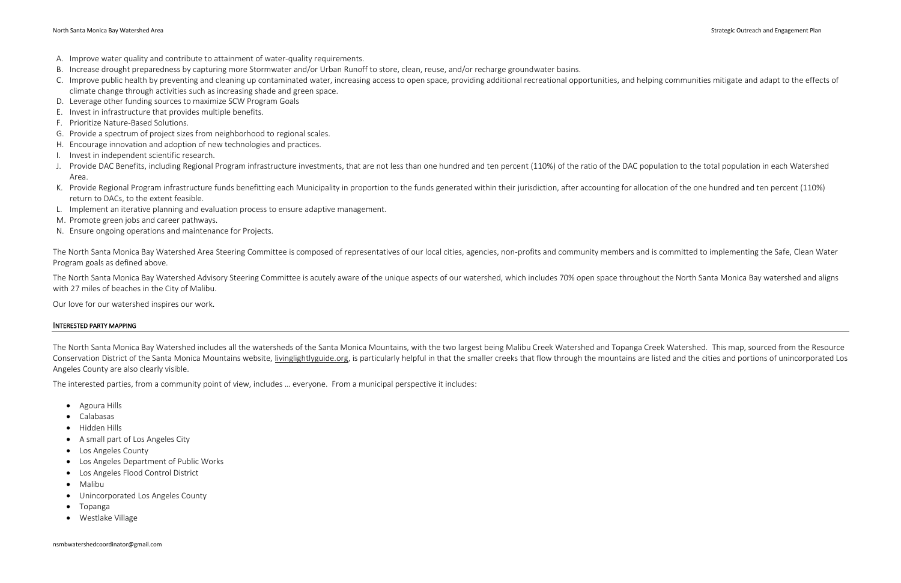- A. Improve water quality and contribute to attainment of water-quality requirements.
- B. Increase drought preparedness by capturing more Stormwater and/or Urban Runoff to store, clean, reuse, and/or recharge groundwater basins.
- C. Improve public health by preventing and cleaning up contaminated water, increasing access to open space, providing additional recreational opportunities, and helping communities mitigate and adapt to the effects of climate change through activities such as increasing shade and green space.
- D. Leverage other funding sources to maximize SCW Program Goals
- E. Invest in infrastructure that provides multiple benefits.
- F. Prioritize Nature-Based Solutions.
- G. Provide a spectrum of project sizes from neighborhood to regional scales.
- H. Encourage innovation and adoption of new technologies and practices.
- I. Invest in independent scientific research.
- J. Provide DAC Benefits, including Regional Program infrastructure investments, that are not less than one hundred and ten percent (110%) of the ratio of the DAC population to the total population in each Watershed Area.
- K. Provide Regional Program infrastructure funds benefitting each Municipality in proportion to the funds generated within their jurisdiction, after accounting for allocation of the one hundred and ten percent (110%) return to DACs, to the extent feasible.
- L. Implement an iterative planning and evaluation process to ensure adaptive management.
- M. Promote green jobs and career pathways.
- N. Ensure ongoing operations and maintenance for Projects.

The North Santa Monica Bay Watershed Area Steering Committee is composed of representatives of our local cities, agencies, non-profits and community members and is committed to implementing the Safe, Clean Water Program goals as defined above.

The North Santa Monica Bay Watershed Advisory Steering Committee is acutely aware of the unique aspects of our watershed, which includes 70% open space throughout the North Santa Monica Bay watershed and aligns with 27 miles of beaches in the City of Malibu.

Our love for our watershed inspires our work.

## <span id="page-4-0"></span>INTERESTED PARTY MAPPING

The North Santa Monica Bay Watershed includes all the watersheds of the Santa Monica Mountains, with the two largest being Malibu Creek Watershed and Topanga Creek Watershed. This map, sourced from the Resource Conservation District of the Santa Monica Mountains website, [livinglightlyguide.org,](http://www.livinglightlyguide.org/) is particularly helpful in that the smaller creeks that flow through the mountains are listed and the cities and portions of unincorporat Angeles County are also clearly visible.

The interested parties, from a community point of view, includes … everyone. From a municipal perspective it includes:

- Agoura Hills
- Calabasas
- Hidden Hills
- A small part of Los Angeles City
- Los Angeles County
- Los Angeles Department of Public Works
- Los Angeles Flood Control District
- Malibu
- Unincorporated Los Angeles County
- Topanga
- Westlake Village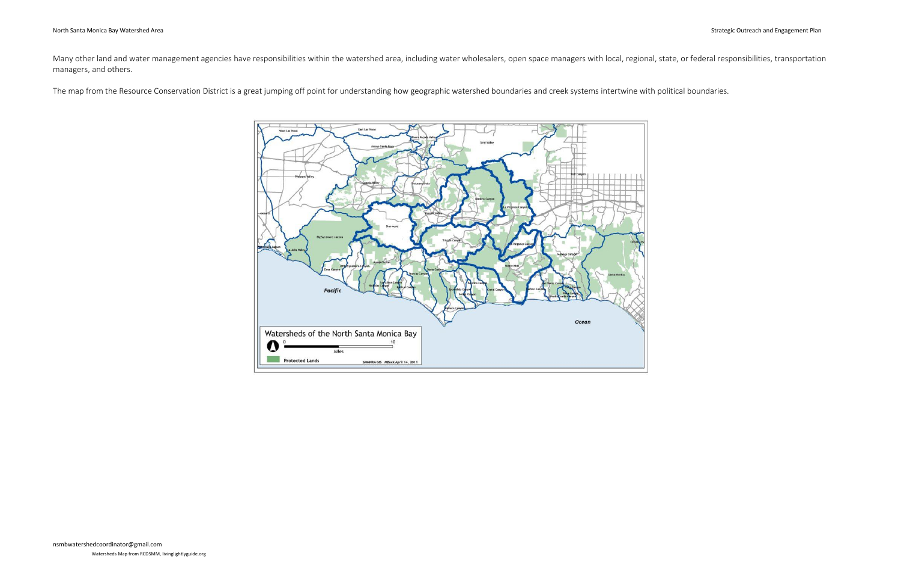Many other land and water management agencies have responsibilities within the watershed area, including water wholesalers, open space managers with local, regional, state, or federal responsibilities, transportation managers, and others.

<span id="page-5-0"></span>The map from the Resource Conservation District is a great jumping off point for understanding how geographic watershed boundaries and creek systems intertwine with political boundaries.

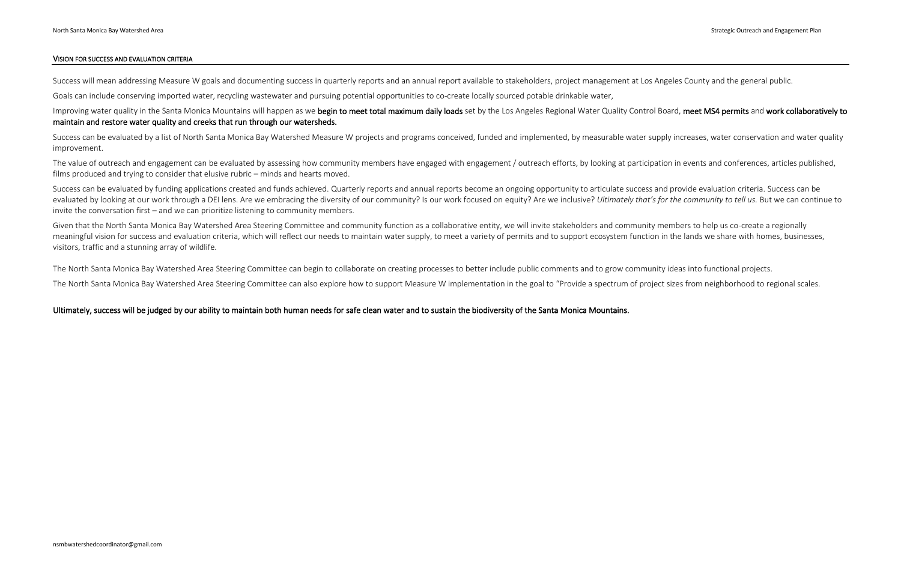#### VISION FOR SUCCESS AND EVALUATION CRITERIA

Success will mean addressing Measure W goals and documenting success in quarterly reports and an annual report available to stakeholders, project management at Los Angeles County and the general public.

Improving water quality in the Santa Monica Mountains will happen as we begin to meet total maximum daily loads set by the Los Angeles Regional Water Quality Control Board, meet MS4 permits and work collaboratively to maintain and restore water quality and creeks that run through our watersheds.

Goals can include conserving imported water, recycling wastewater and pursuing potential opportunities to co-create locally sourced potable drinkable water,

Success can be evaluated by a list of North Santa Monica Bay Watershed Measure W projects and programs conceived, funded and implemented, by measurable water supply increases, water conservation and water quality improvement.

The value of outreach and engagement can be evaluated by assessing how community members have engaged with engagement / outreach efforts, by looking at participation in events and conferences, articles published, films produced and trying to consider that elusive rubric – minds and hearts moved.

Success can be evaluated by funding applications created and funds achieved. Quarterly reports and annual reports become an ongoing opportunity to articulate success and provide evaluation criteria. Success can be evaluated by looking at our work through a DEI lens. Are we embracing the diversity of our community? Is our work focused on equity? Are we inclusive? Ultimately that's for the community to tell us. But we can continue to invite the conversation first – and we can prioritize listening to community members.

Given that the North Santa Monica Bay Watershed Area Steering Committee and community function as a collaborative entity, we will invite stakeholders and community members to help us co-create a regionally meaningful vision for success and evaluation criteria, which will reflect our needs to maintain water supply, to meet a variety of permits and to support ecosystem function in the lands we share with homes, businesses, visitors, traffic and a stunning array of wildlife.

The North Santa Monica Bay Watershed Area Steering Committee can begin to collaborate on creating processes to better include public comments and to grow community ideas into functional projects. The North Santa Monica Bay Watershed Area Steering Committee can also explore how to support Measure W implementation in the goal to "Provide a spectrum of project sizes from neighborhood to regional scales.

## Ultimately, success will be judged by our ability to maintain both human needs for safe clean water and to sustain the biodiversity of the Santa Monica Mountains.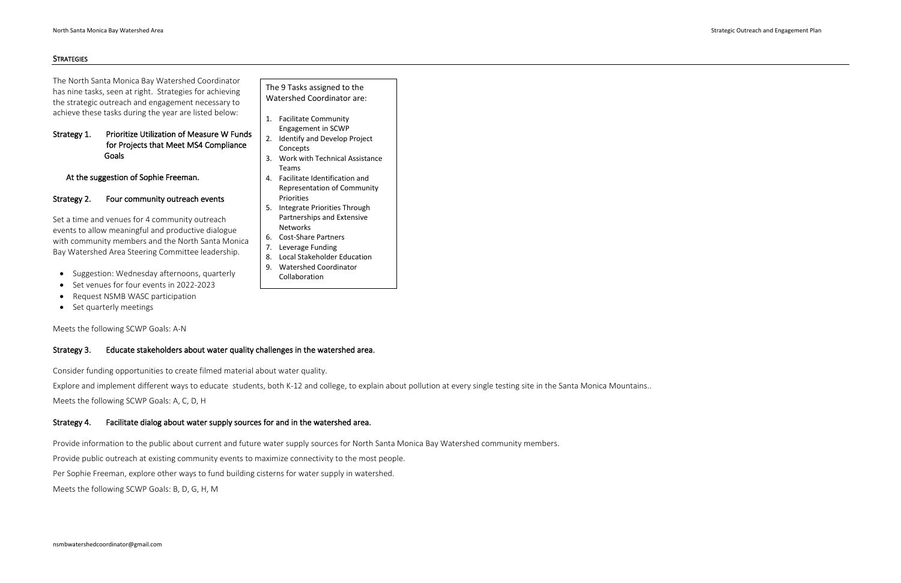#### <span id="page-7-0"></span>**STRATEGIES**

The North Santa Monica Bay Watershed Coordinator has nine tasks, seen at right. Strategies for achieving the strategic outreach and engagement necessary to achieve these tasks during the year are listed below:

- Suggestion: Wednesday afternoons, quarterly
- Set venues for four events in 2022-2023
- Request NSMB WASC participation
- Set quarterly meetings

<span id="page-7-1"></span>Strategy 1. Prioritize Utilization of Measure W Funds for Projects that Meet MS4 Compliance Goals

At the suggestion of Sophie Freeman.

## Strategy 2. Four community outreach events

Set a time and venues for 4 community outreach events to allow meaningful and productive dialogue with community members and the North Santa Monica Bay Watershed Area Steering Committee leadership.

Meets the following SCWP Goals: A-N

## <span id="page-7-2"></span>Strategy 3. Educate stakeholders about water quality challenges in the watershed area.

Consider funding opportunities to create filmed material about water quality.

Explore and implement different ways to educate students, both K-12 and college, to explain about pollution at every single testing site in the Santa Monica Mountains.. Meets the following SCWP Goals: A, C, D, H

## <span id="page-7-3"></span>Strategy 4. Facilitate dialog about water supply sources for and in the watershed area.

Provide information to the public about current and future water supply sources for North Santa Monica Bay Watershed community members.

Provide public outreach at existing community events to maximize connectivity to the most people.

Per Sophie Freeman, explore other ways to fund building cisterns for water supply in watershed.

Meets the following SCWP Goals: B, D, G, H, M

The 9 Tasks assigned to the Watershed Coordinator are:

- 1. Facilitate Community Engagement in SCWP
- 2. Identify and Develop Project **Concepts**
- 3. Work with Technical Assistance Teams
- 4. Facilitate Identification and Representation of Community Priorities
- 5. Integrate Priorities Through Partnerships and Extensive Networks
- 6. Cost-Share Partners
- 7. Leverage Funding
- 8. Local Stakeholder Education
- 9. Watershed Coordinator Collaboration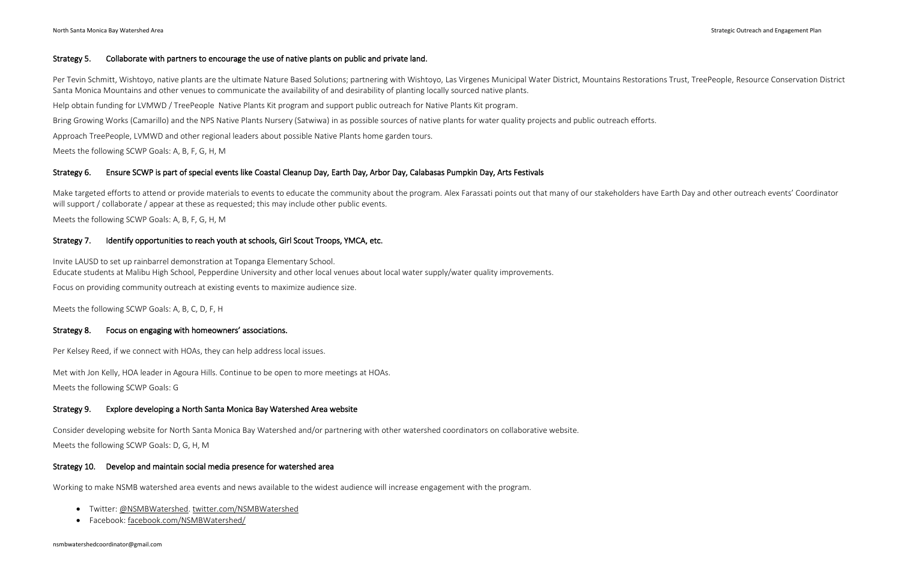# <span id="page-8-0"></span>Strategy 5. Collaborate with partners to encourage the use of native plants on public and private land.

Per Tevin Schmitt, Wishtoyo, native plants are the ultimate Nature Based Solutions; partnering with Wishtoyo, Las Virgenes Municipal Water District, Mountains Restorations Trust, TreePeople, Resource Conservation District Santa Monica Mountains and other venues to communicate the availability of and desirability of planting locally sourced native plants.

Help obtain funding for LVMWD / TreePeople Native Plants Kit program and support public outreach for Native Plants Kit program.

Bring Growing Works (Camarillo) and the NPS Native Plants Nursery (Satwiwa) in as possible sources of native plants for water quality projects and public outreach efforts.

Approach TreePeople, LVMWD and other regional leaders about possible Native Plants home garden tours.

Meets the following SCWP Goals: A, B, F, G, H, M

# <span id="page-8-1"></span>Strategy 6. Ensure SCWP is part of special events like Coastal Cleanup Day, Earth Day, Arbor Day, Calabasas Pumpkin Day, Arts Festivals

Make targeted efforts to attend or provide materials to events to educate the community about the program. Alex Farassati points out that many of our stakeholders have Earth Day and other outreach events' Coordinator will support / collaborate / appear at these as requested; this may include other public events.

Meets the following SCWP Goals: A, B, F, G, H, M

# <span id="page-8-2"></span>Strategy 7. Identify opportunities to reach youth at schools, Girl Scout Troops, YMCA, etc.

Invite LAUSD to set up rainbarrel demonstration at Topanga Elementary School. Educate students at Malibu High School, Pepperdine University and other local venues about local water supply/water quality improvements.

Focus on providing community outreach at existing events to maximize audience size.

Meets the following SCWP Goals: A, B, C, D, F, H

# <span id="page-8-3"></span>Strategy 8. Focus on engaging with homeowners' associations.

Per Kelsey Reed, if we connect with HOAs, they can help address local issues.

Met with Jon Kelly, HOA leader in Agoura Hills. Continue to be open to more meetings at HOAs.

Meets the following SCWP Goals: G

# <span id="page-8-4"></span>Strategy 9. Explore developing a North Santa Monica Bay Watershed Area website

Consider developing website for North Santa Monica Bay Watershed and/or partnering with other watershed coordinators on collaborative website. Meets the following SCWP Goals: D, G, H, M

# <span id="page-8-5"></span>Strategy 10. Develop and maintain social media presence for watershed area

Working to make NSMB watershed area events and news available to the widest audience will increase engagement with the program.

- Twitter: [@NSMBWatershed. twitter.com/NSMBWatershed](https://twitter.com/NSMBWatershed)
- Facebook: [facebook.com/NSMBWatershed/](http://www.facebook.com/NSMBWatershed/)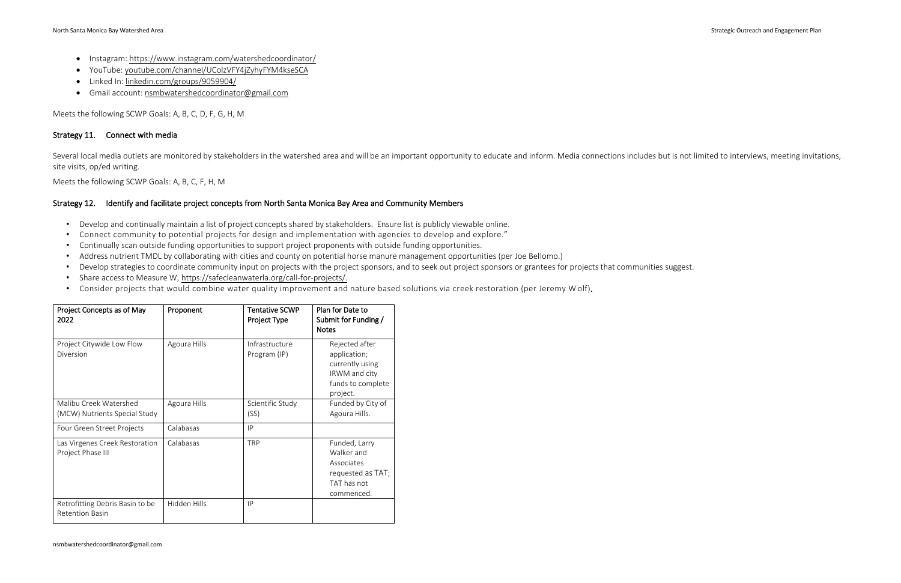- Instagram[: https://www.instagram.com/watershedcoordinator/](https://www.instagram.com/watershedcoordinator/)
- YouTube: [youtube.com/channel/UColzVFY4jZyhyFYM4kseSCA](https://www.youtube.com/channel/UColzVFY4jZyhyFYM4kseSCA)
- Linked In: [linkedin.com/groups/9059904/](https://www.linkedin.com/groups/9059904/)
- Gmail account: [nsmbwatershedcoordinator@gmail.com](mailto:nsmbwatershedcoordinator@gmail.com)

Several local media outlets are monitored by stakeholders in the watershed area and will be an important opportunity to educate and inform. Media connections includes but is not limited to interviews, meeting invitations, site visits, op/ed writing.

Meets the following SCWP Goals: A, B, C, D, F, G, H, M

## <span id="page-9-0"></span>Strategy 11. Connect with media

Meets the following SCWP Goals: A, B, C, F, H, M

# <span id="page-9-1"></span>Strategy 12. Identify and facilitate project concepts from North Santa Monica Bay Area and Community Members

- Develop and continually maintain a list of project concepts shared by stakeholders. Ensure list is publicly viewable online.
- Connect community to potential projects for design and implementation with agencies to develop and explore."
- Continually scan outside funding opportunities to support project proponents with outside funding opportunities.
- Address nutrient TMDL by collaborating with cities and county on potential horse manure management opportunities (per Joe Bellomo.)
- Develop strategies to coordinate community input on projects with the project sponsors, and to seek out project sponsors or grantees for projects that communities suggest.
- Share access to Measure W, [https://safecleanwaterla.org/call-for-projects/.](https://safecleanwaterla.org/call-for-projects/)
- Consider projects that would combine water quality improvement and nature based solutions via creek restoration (per Jeremy W olf).

| Project Concepts as of May<br>2022                        | Proponent    | Tentative SCWP<br>Project Type | Plan for Date to<br>Submit for Funding /<br><b>Notes</b>                                            |
|-----------------------------------------------------------|--------------|--------------------------------|-----------------------------------------------------------------------------------------------------|
| Project Citywide Low Flow<br>Diversion                    | Agoura Hills | Infrastructure<br>Program (IP) | Rejected after<br>application;<br>currently using<br>IRWM and city<br>funds to complete<br>project. |
| Malibu Creek Watershed<br>(MCW) Nutrients Special Study   | Agoura Hills | Scientific Study<br>(SS)       | Funded by City of<br>Agoura Hills.                                                                  |
| Four Green Street Projects                                | Calabasas    | IP                             |                                                                                                     |
| Las Virgenes Creek Restoration<br>Project Phase III       | Calabasas    | <b>TRP</b>                     | Funded, Larry<br>Walker and<br>Associates<br>requested as TAT;<br>TAT has not<br>commenced.         |
| Retrofitting Debris Basin to be<br><b>Retention Basin</b> | Hidden Hills | IP                             |                                                                                                     |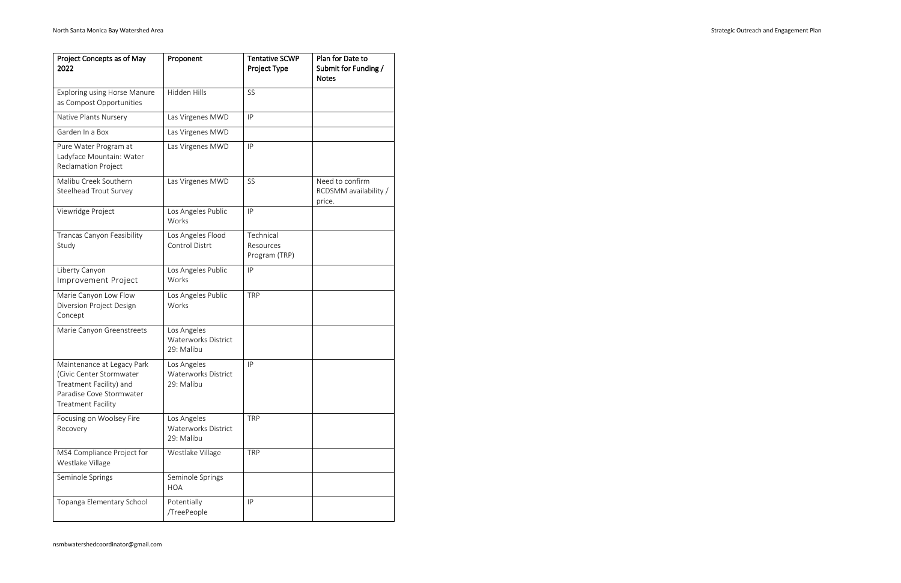| Project Concepts as of May<br>2022                                                                                                         | Proponent                                        | <b>Tentative SCWP</b><br>Project Type   | Plan for Date to<br>Submit for Funding /<br><b>Notes</b> |
|--------------------------------------------------------------------------------------------------------------------------------------------|--------------------------------------------------|-----------------------------------------|----------------------------------------------------------|
| <b>Exploring using Horse Manure</b><br>as Compost Opportunities                                                                            | Hidden Hills                                     | SS                                      |                                                          |
| Native Plants Nursery                                                                                                                      | Las Virgenes MWD                                 | IP                                      |                                                          |
| Garden In a Box                                                                                                                            | Las Virgenes MWD                                 |                                         |                                                          |
| Pure Water Program at<br>Ladyface Mountain: Water<br>Reclamation Project                                                                   | Las Virgenes MWD                                 | IP                                      |                                                          |
| Malibu Creek Southern<br>Steelhead Trout Survey                                                                                            | Las Virgenes MWD                                 | SS                                      | Need to confirm<br>RCDSMM availability /<br>price.       |
| Viewridge Project                                                                                                                          | Los Angeles Public<br>Works                      | IP                                      |                                                          |
| <b>Trancas Canyon Feasibility</b><br>Study                                                                                                 | Los Angeles Flood<br>Control Distrt              | Technical<br>Resources<br>Program (TRP) |                                                          |
| Liberty Canyon<br>Improvement Project                                                                                                      | Los Angeles Public<br>Works                      | P                                       |                                                          |
| Marie Canyon Low Flow<br>Diversion Project Design<br>Concept                                                                               | Los Angeles Public<br>Works                      | <b>TRP</b>                              |                                                          |
| Marie Canyon Greenstreets                                                                                                                  | Los Angeles<br>Waterworks District<br>29: Malibu |                                         |                                                          |
| Maintenance at Legacy Park<br>(Civic Center Stormwater<br>Treatment Facility) and<br>Paradise Cove Stormwater<br><b>Treatment Facility</b> | Los Angeles<br>Waterworks District<br>29: Malibu | P                                       |                                                          |
| Focusing on Woolsey Fire<br>Recovery                                                                                                       | Los Angeles<br>Waterworks District<br>29: Malibu | <b>TRP</b>                              |                                                          |
| MS4 Compliance Project for<br>Westlake Village                                                                                             | Westlake Village                                 | <b>TRP</b>                              |                                                          |
| Seminole Springs                                                                                                                           | Seminole Springs<br><b>HOA</b>                   |                                         |                                                          |
| Topanga Elementary School                                                                                                                  | Potentially<br>/TreePeople                       | IP                                      |                                                          |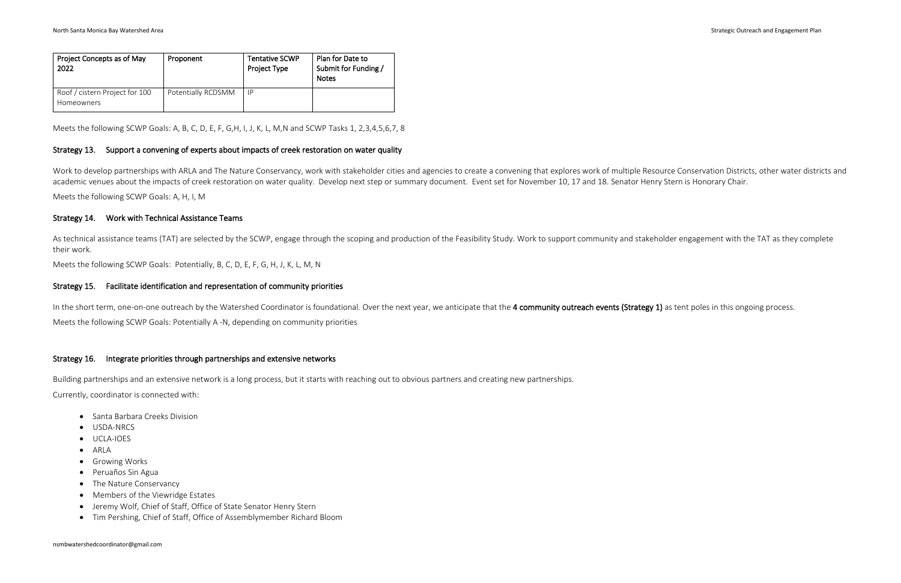| Project Concepts as of May<br>2022                  | Proponent          | Tentative SCWP<br><b>Project Type</b> | Plan for Date to<br>Submit for Funding /<br><b>Notes</b> |
|-----------------------------------------------------|--------------------|---------------------------------------|----------------------------------------------------------|
| Roof / cistern Project for 100<br><b>Homeowners</b> | Potentially RCDSMM | ١P                                    |                                                          |

Meets the following SCWP Goals: A, B, C, D, E, F, G,H, I, J, K, L, M,N and SCWP Tasks 1, 2,3,4,5,6,7, 8

## <span id="page-11-0"></span>Strategy 13. Support a convening of experts about impacts of creek restoration on water quality

Work to develop partnerships with ARLA and The Nature Conservancy, work with stakeholder cities and agencies to create a convening that explores work of multiple Resource Conservation Districts, other water districts and academic venues about the impacts of creek restoration on water quality. Develop next step or summary document. Event set for November 10, 17 and 18. Senator Henry Stern is Honorary Chair.

As technical assistance teams (TAT) are selected by the SCWP, engage through the scoping and production of the Feasibility Study. Work to support community and stakeholder engagement with the TAT as they complete their work.

In the short term, one-on-one outreach by the Watershed Coordinator is foundational. Over the next year, we anticipate that the 4 community outreach events (Strategy 1) as tent poles in this ongoing process. Meets the following SCWP Goals: Potentially A -N, depending on community priorities

Meets the following SCWP Goals: A, H, I, M

# <span id="page-11-1"></span>Strategy 14. Work with Technical Assistance Teams

Meets the following SCWP Goals: Potentially, B, C, D, E, F, G, H, J, K, L, M, N

# <span id="page-11-2"></span>Strategy 15. Facilitate identification and representation of community priorities

# <span id="page-11-3"></span>Strategy 16. Integrate priorities through partnerships and extensive networks

Building partnerships and an extensive network is a long process, but it starts with reaching out to obvious partners and creating new partnerships.

Currently, coordinator is connected with:

- Santa Barbara Creeks Division
- USDA-NRCS
- UCLA-IOES
- ARLA
- Growing Works
- Peruaños Sin Agua
- The Nature Conservancy
- Members of the Viewridge Estates
- Jeremy Wolf, Chief of Staff, Office of State Senator Henry Stern
- Tim Pershing, Chief of Staff, Office of Assemblymember Richard Bloom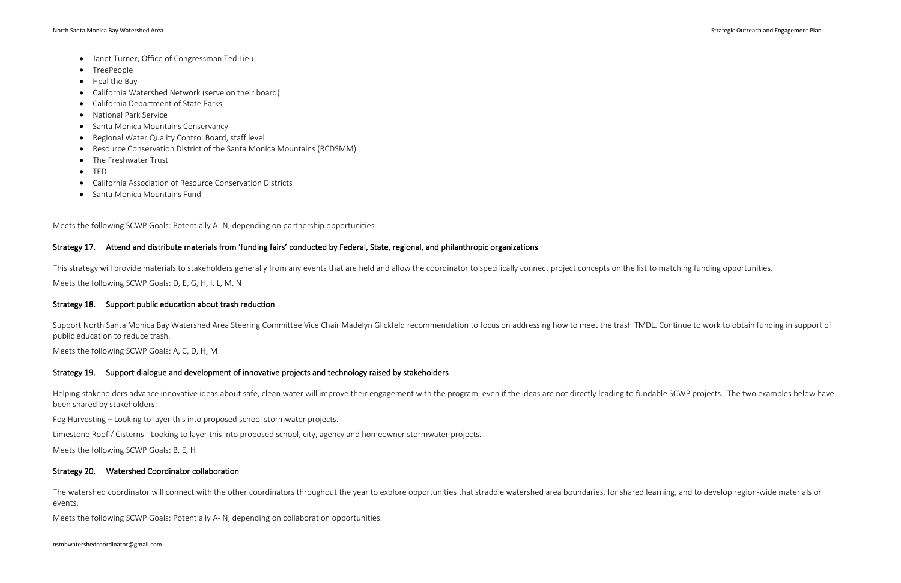- Janet Turner, Office of Congressman Ted Lieu
- TreePeople
- Heal the Bay
- California Watershed Network (serve on their board)
- California Department of State Parks
- National Park Service
- Santa Monica Mountains Conservancy
- Regional Water Quality Control Board, staff level
- Resource Conservation District of the Santa Monica Mountains (RCDSMM)
- The Freshwater Trust
- TED
- California Association of Resource Conservation Districts
- Santa Monica Mountains Fund

This strategy will provide materials to stakeholders generally from any events that are held and allow the coordinator to specifically connect project concepts on the list to matching funding opportunities. Meets the following SCWP Goals: D, E, G, H, I, L, M, N

<span id="page-12-0"></span>Meets the following SCWP Goals: Potentially A -N, depending on partnership opportunities

Support North Santa Monica Bay Watershed Area Steering Committee Vice Chair Madelyn Glickfeld recommendation to focus on addressing how to meet the trash TMDL. Continue to work to obtain funding in support of public education to reduce trash.

# Strategy 17. Attend and distribute materials from 'funding fairs' conducted by Federal, State, regional, and philanthropic organizations

Helping stakeholders advance innovative ideas about safe, clean water will improve their engagement with the program, even if the ideas are not directly leading to fundable SCWP projects. The two examples below have been shared by stakeholders:

## <span id="page-12-1"></span>Strategy 18. Support public education about trash reduction

The watershed coordinator will connect with the other coordinators throughout the year to explore opportunities that straddle watershed area boundaries, for shared learning, and to develop region-wide materials or events.

Meets the following SCWP Goals: A, C, D, H, M

## <span id="page-12-2"></span>Strategy 19. Support dialogue and development of innovative projects and technology raised by stakeholders

Fog Harvesting – Looking to layer this into proposed school stormwater projects.

Limestone Roof / Cisterns - Looking to layer this into proposed school, city, agency and homeowner stormwater projects.

Meets the following SCWP Goals: B, E, H

## <span id="page-12-3"></span>Strategy 20. Watershed Coordinator collaboration

Meets the following SCWP Goals: Potentially A- N, depending on collaboration opportunities.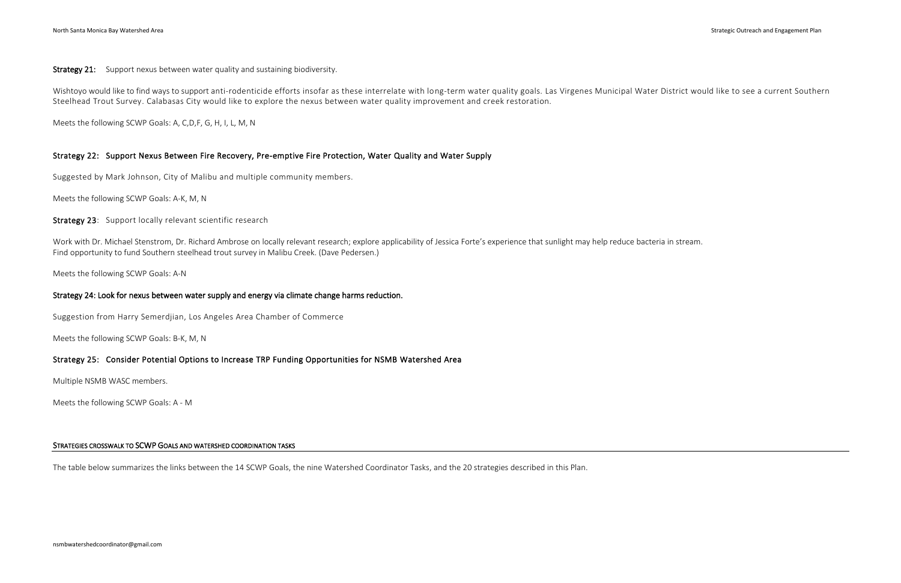Strategy 21: Support nexus between water quality and sustaining biodiversity.

Wishtoyo would like to find ways to support anti-rodenticide efforts insofar as these interrelate with long-term water quality goals. Las Virgenes Municipal Water District would like to see a current Southern Steelhead Trout Survey. Calabasas City would like to explore the nexus between water quality improvement and creek restoration.

Meets the following SCWP Goals: A, C,D,F, G, H, I, L, M, N

## Strategy 22: Support Nexus Between Fire Recovery, Pre-emptive Fire Protection, Water Quality and Water Supply

Suggested by Mark Johnson, City of Malibu and multiple community members.

Meets the following SCWP Goals: A-K, M, N

Strategy 23: Support locally relevant scientific research

Work with Dr. Michael Stenstrom, Dr. Richard Ambrose on locally relevant research; explore applicability of Jessica Forte's experience that sunlight may help reduce bacteria in stream. Find opportunity to fund Southern steelhead trout survey in Malibu Creek. (Dave Pedersen.)

Meets the following SCWP Goals: A-N

### Strategy 24: Look for nexus between water supply and energy via climate change harms reduction.

Suggestion from Harry Semerdjian, Los Angeles Area Chamber of Commerce

Meets the following SCWP Goals: B-K, M, N

## Strategy 25: Consider Potential Options to Increase TRP Funding Opportunities for NSMB Watershed Area

Multiple NSMB WASC members.

Meets the following SCWP Goals: A - M

## <span id="page-13-0"></span>STRATEGIES CROSSWALK TO SCWP GOALS AND WATERSHED COORDINATION TASKS

The table below summarizes the links between the 14 SCWP Goals, the nine Watershed Coordinator Tasks, and the 20 strategies described in this Plan.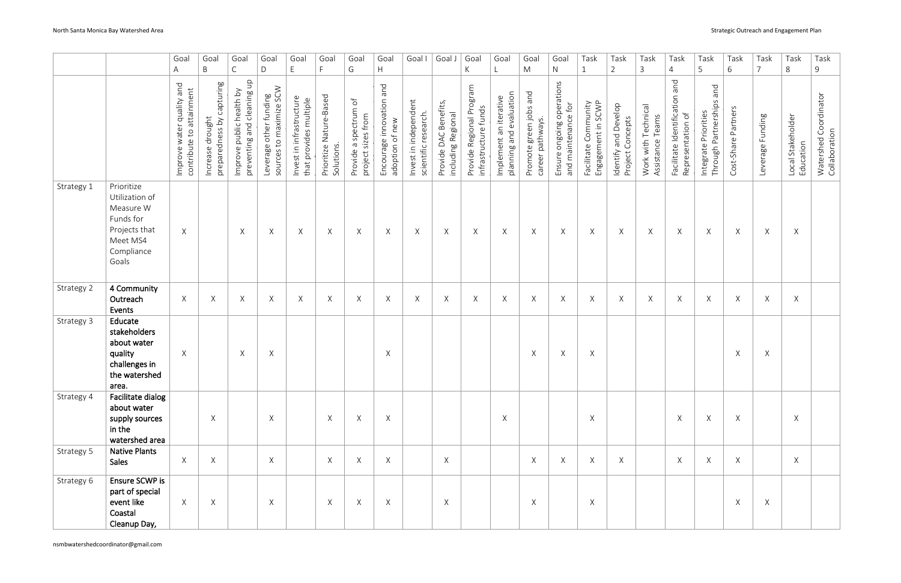|            |                                                                                                            | Goal<br>Α                                                | Goal<br>B                                                  | Goal<br>$\mathsf{C}$                                                 | Goal<br>D                                            | Goal<br>E                                          | Goal<br>E                             | Goal<br>G                                                      | Goal<br>H                                      | Goal I                                        | Goal J                                      | Goal<br>К                                        | Goal                                                    | Goal<br>M                                     | Goal<br>N                                           | Task                                       | Task<br>$\overline{2}$                         | Task<br>3                               | Task<br>4                                             | Task<br>5                                              | Task<br>6           | Task<br>$\overline{7}$ | Task<br>8                      | Task<br>9                              |
|------------|------------------------------------------------------------------------------------------------------------|----------------------------------------------------------|------------------------------------------------------------|----------------------------------------------------------------------|------------------------------------------------------|----------------------------------------------------|---------------------------------------|----------------------------------------------------------------|------------------------------------------------|-----------------------------------------------|---------------------------------------------|--------------------------------------------------|---------------------------------------------------------|-----------------------------------------------|-----------------------------------------------------|--------------------------------------------|------------------------------------------------|-----------------------------------------|-------------------------------------------------------|--------------------------------------------------------|---------------------|------------------------|--------------------------------|----------------------------------------|
|            |                                                                                                            | Improve water quality and<br>attainment<br>contribute to | capturing<br>drought<br>$\geq$<br>preparedness<br>Increase | $\frac{1}{2}$<br>Improve public health by<br>preventing and cleaning | SCW<br>Leverage other funding<br>sources to maximize | Invest in infrastructure<br>that provides multiple | Prioritize Nature-Based<br>Solutions. | ЪĻ<br>spectrum<br>sizes from<br>$\varpi$<br>Provide<br>project | and<br>Encourage innovation<br>adoption of new | Invest in independent<br>scientific research. | Provide DAC Benefits,<br>including Regional | Provide Regional Program<br>infrastructure funds | evaluation<br>Implement an iterative<br>and<br>planning | green jobs and<br>career pathways.<br>Promote | ongoing operations<br>and maintenance for<br>Ensure | Facilitate Community<br>Engagement in SCWP | and Develop<br>Concepts<br>Identify<br>Project | Work with Technical<br>Assistance Teams | and<br>Facilitate Identification<br>Representation of | and<br>Through Partnerships<br>Priorities<br>Integrate | Cost-Share Partners | Funding<br>Leverage    | Local Stakeholder<br>Education | Watershed Coordinator<br>Collaboration |
| Strategy 1 | Prioritize<br>Utilization of<br>Measure W<br>Funds for<br>Projects that<br>Meet MS4<br>Compliance<br>Goals | $\times$                                                 |                                                            | $\times$                                                             | X                                                    | X                                                  | X                                     | $\times$                                                       | X                                              | X                                             | X                                           | X                                                | X                                                       | X                                             | X                                                   | X                                          | X                                              | X                                       | X                                                     | X                                                      | $\times$            | $\mathsf{X}$           | X                              |                                        |
| Strategy 2 | 4 Community<br>Outreach<br>Events                                                                          | $\times$                                                 | X                                                          | $\times$                                                             | X                                                    | $\chi$                                             | X                                     | $\times$                                                       | X                                              | $\times$                                      | X                                           | X                                                | X                                                       | X                                             | X                                                   | X                                          | X                                              | X                                       | X                                                     | X                                                      | $\mathsf X$         | X                      | $\mathsf{X}$                   |                                        |
| Strategy 3 | Educate<br>stakeholders<br>about water<br>quality<br>challenges in<br>the watershed<br>area.               | X                                                        |                                                            | $\times$                                                             | X                                                    |                                                    |                                       |                                                                | X                                              |                                               |                                             |                                                  |                                                         | Χ                                             | $\mathsf X$                                         | X                                          |                                                |                                         |                                                       |                                                        | $\mathsf X$         | X                      |                                |                                        |
| Strategy 4 | Facilitate dialog<br>about water<br>supply sources<br>in the<br>watershed area                             |                                                          | $\times$                                                   |                                                                      | X                                                    |                                                    | $\times$                              | X                                                              | X                                              |                                               |                                             |                                                  | X                                                       |                                               |                                                     | X                                          |                                                |                                         | $\times$                                              | $\times$                                               | $\chi$              |                        | $\times$                       |                                        |
| Strategy 5 | <b>Native Plants</b><br>Sales                                                                              | $\times$                                                 | X                                                          |                                                                      | X                                                    |                                                    | $\times$                              | X                                                              | X                                              |                                               | $\chi$                                      |                                                  |                                                         | X                                             | $\mathsf{X}$                                        | X                                          | X                                              |                                         | $\times$                                              | $\chi$                                                 | $\chi$              |                        | $\times$                       |                                        |
| Strategy 6 | Ensure SCWP is<br>part of special<br>event like<br>Coastal<br>Cleanup Day,                                 | $\chi$                                                   | $\times$                                                   |                                                                      | X                                                    |                                                    | $\times$                              | X                                                              | X                                              |                                               | $\chi$                                      |                                                  |                                                         | $\chi$                                        |                                                     | $\times$                                   |                                                |                                         |                                                       |                                                        | $\times$            | X                      |                                |                                        |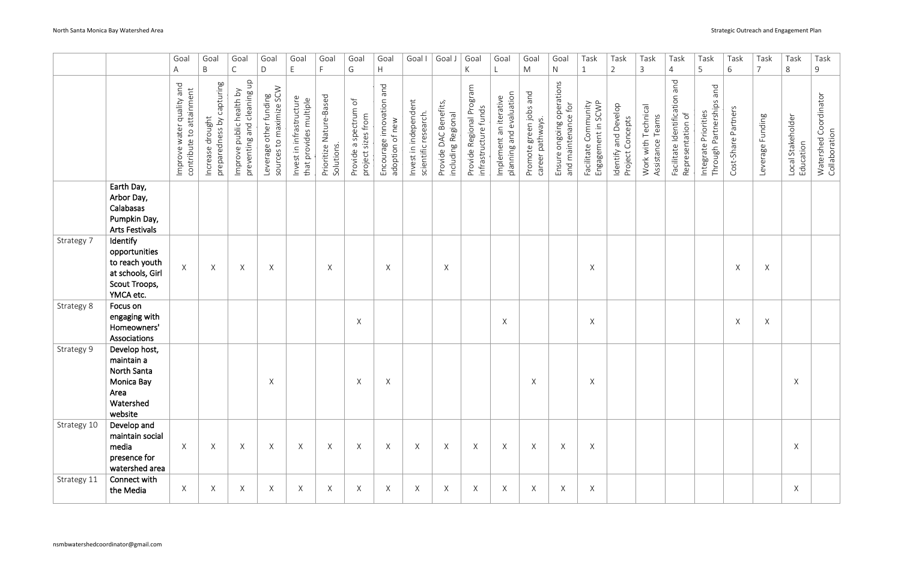|             |                                                                                               | Goal                                                  | Goal                                                | Goal                                                   | Goal                                                 | Goal                                               | Goal                                 | Goal                                                       | Goal                                           | Goall                                         | Goal J                                      | Goal                                             | Goal                                                 | Goal                                       | Goal                                             | Task                                       | Task                                        | Task                                    | Task                                                  | Task                                                | Task                | Task                | Task                           | Task                                   |
|-------------|-----------------------------------------------------------------------------------------------|-------------------------------------------------------|-----------------------------------------------------|--------------------------------------------------------|------------------------------------------------------|----------------------------------------------------|--------------------------------------|------------------------------------------------------------|------------------------------------------------|-----------------------------------------------|---------------------------------------------|--------------------------------------------------|------------------------------------------------------|--------------------------------------------|--------------------------------------------------|--------------------------------------------|---------------------------------------------|-----------------------------------------|-------------------------------------------------------|-----------------------------------------------------|---------------------|---------------------|--------------------------------|----------------------------------------|
|             |                                                                                               | A                                                     | B                                                   | $\mathsf C$                                            | D                                                    | E                                                  |                                      | G                                                          | H                                              |                                               |                                             | К                                                |                                                      | M                                          | N                                                |                                            | $\overline{2}$                              | $\mathsf{3}$                            | 4                                                     | 5                                                   | 6                   | $\overline{7}$      | 8                              | $9$                                    |
|             |                                                                                               | Improve water quality and<br>contribute to attainment | capturing<br>drought<br>preparedness by<br>Increase | preventing and cleaning up<br>Improve public health by | sources to maximize SCW<br>other funding<br>Leverage | Invest in infrastructure<br>that provides multiple | Prioritize Nature-Based<br>Solutions | $\sigma$<br>Provide a spectrum<br>from<br>sizes<br>project | and<br>Encourage innovation<br>adoption of new | Invest in independent<br>scientific research. | Provide DAC Benefits,<br>including Regional | Provide Regional Program<br>infrastructure funds | evaluation<br>Implement an iterative<br>planning and | Promote green jobs and<br>career pathways. | Ensure ongoing operations<br>and maintenance for | Facilitate Community<br>Engagement in SCWP | Identify and Develop<br>Concepts<br>Project | Work with Technical<br>Assistance Teams | and<br>Facilitate Identification<br>Representation of | and<br>Through Partnerships<br>Integrate Priorities | Cost-Share Partners | Funding<br>Leverage | Local Stakeholder<br>Education | Watershed Coordinator<br>Collaboration |
|             | Earth Day,<br>Arbor Day,<br>Calabasas<br>Pumpkin Day,<br>Arts Festivals                       |                                                       |                                                     |                                                        |                                                      |                                                    |                                      |                                                            |                                                |                                               |                                             |                                                  |                                                      |                                            |                                                  |                                            |                                             |                                         |                                                       |                                                     |                     |                     |                                |                                        |
| Strategy 7  | Identify<br>opportunities<br>to reach youth<br>at schools, Girl<br>Scout Troops,<br>YMCA etc. | $\mathsf{X}$                                          | X                                                   | X                                                      | X                                                    |                                                    | $\mathsf X$                          |                                                            | Χ                                              |                                               | X                                           |                                                  |                                                      |                                            |                                                  | X                                          |                                             |                                         |                                                       |                                                     | $\mathsf X$         | Χ                   |                                |                                        |
| Strategy 8  | Focus on<br>engaging with<br>Homeowners'<br>Associations                                      |                                                       |                                                     |                                                        |                                                      |                                                    |                                      | $\mathsf X$                                                |                                                |                                               |                                             |                                                  | $\mathsf X$                                          |                                            |                                                  | Χ                                          |                                             |                                         |                                                       |                                                     | $\mathsf X$         | $\mathsf X$         |                                |                                        |
| Strategy 9  | Develop host,<br>maintain a<br>North Santa<br>Monica Bay<br>Area<br>Watershed<br>website      |                                                       |                                                     |                                                        | Χ                                                    |                                                    |                                      | $\mathsf X$                                                | X                                              |                                               |                                             |                                                  |                                                      | X                                          |                                                  | Χ                                          |                                             |                                         |                                                       |                                                     |                     |                     | X                              |                                        |
| Strategy 10 | Develop and<br>maintain social<br>media<br>presence for<br>watershed area                     | $\mathsf X$                                           | X                                                   | $\times$                                               | X                                                    | $\times$                                           | $\times$                             | $\mathsf{X}$                                               | X                                              | $\times$                                      | $\chi$                                      | X                                                | X                                                    | $\chi$                                     | X                                                | X                                          |                                             |                                         |                                                       |                                                     |                     |                     | $\times$                       |                                        |
| Strategy 11 | Connect with<br>the Media                                                                     | $\mathsf{X}$                                          | $\mathsf{X}$                                        | $\mathsf{X}$                                           | X                                                    | X                                                  | $\mathsf{X}$                         | $\mathsf{X}$                                               | X                                              | $\mathsf{X}$                                  | $\sf X$                                     | X                                                | X                                                    | X                                          | $\mathsf{X}$                                     | $\times$                                   |                                             |                                         |                                                       |                                                     |                     |                     | $\times$                       |                                        |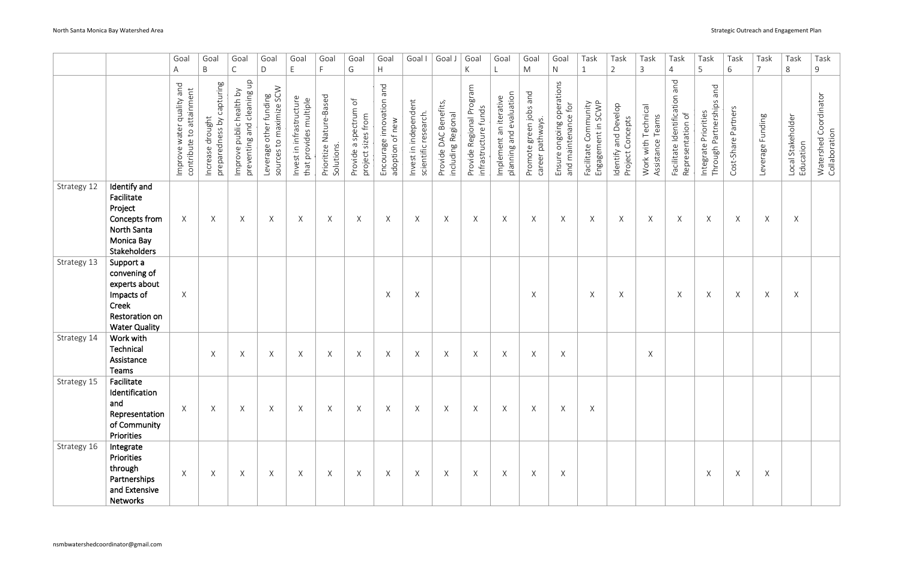|             |                                                                                                             | Goal                                                     | Goal                                                       | Goal                                                                     | Goal                                                 | Goal                                                  | Goal<br>E                             | Goal                                                              | Goal                                           | Goal I                                        | Goal J                                      | Goal                                             | Goal                                                    | Goal                                          | Goal                                                   | Task                                       | Task                                           | Task                                    | Task                                                           | Task                                                      | Task                | Task<br>$\overline{7}$ | Task                           | Task                                   |
|-------------|-------------------------------------------------------------------------------------------------------------|----------------------------------------------------------|------------------------------------------------------------|--------------------------------------------------------------------------|------------------------------------------------------|-------------------------------------------------------|---------------------------------------|-------------------------------------------------------------------|------------------------------------------------|-----------------------------------------------|---------------------------------------------|--------------------------------------------------|---------------------------------------------------------|-----------------------------------------------|--------------------------------------------------------|--------------------------------------------|------------------------------------------------|-----------------------------------------|----------------------------------------------------------------|-----------------------------------------------------------|---------------------|------------------------|--------------------------------|----------------------------------------|
|             |                                                                                                             | A                                                        | B                                                          | $\mathsf{C}$                                                             | D                                                    | E                                                     |                                       | G                                                                 | H                                              |                                               |                                             | К                                                |                                                         | M                                             | N                                                      |                                            | $\overline{2}$                                 | 3                                       | 4                                                              | 5                                                         | 6                   |                        | 8                              | 9                                      |
|             |                                                                                                             | Improve water quality and<br>attainment<br>contribute to | capturing<br>drought<br>$\geq$<br>preparedness<br>Increase | $\overline{5}$<br>Improve public health by<br>cleaning<br>preventing and | to maximize SCW<br>Leverage other funding<br>sources | Invest in infrastructure<br>multiple<br>that provides | Prioritize Nature-Based<br>Solutions. | ЪĻ<br>spectrum<br>from<br>sizes<br>$\varpi$<br>Provide<br>project | and<br>Encourage innovation<br>adoption of new | Invest in independent<br>scientific research. | Provide DAC Benefits,<br>including Regional | Provide Regional Program<br>infrastructure funds | evaluation<br>Implement an iterative<br>and<br>planning | green jobs and<br>career pathways.<br>Promote | operations<br>and maintenance for<br>auioguo<br>Ensure | Facilitate Community<br>Engagement in SCWP | and Develop<br>Concepts<br>Identify<br>Project | Work with Technical<br>Assistance Teams | and<br>Facilitate Identification<br>$\sigma$<br>Representation | and<br>Partnerships<br>Priorities<br>Integrate<br>Through | Cost-Share Partners | Funding<br>Leverage    | Local Stakeholder<br>Education | Watershed Coordinator<br>Collaboration |
| Strategy 12 | Identify and<br>Facilitate<br>Project<br>Concepts from<br>North Santa<br>Monica Bay<br>Stakeholders         | X                                                        | X                                                          | $\times$                                                                 | X                                                    | $\chi$                                                | X                                     | $\times$                                                          | X                                              | $\times$                                      | X                                           | X                                                | X                                                       | X                                             | X                                                      | X                                          | $\mathsf X$                                    | X                                       | X                                                              | X                                                         | X                   | $\mathsf{X}$           | X                              |                                        |
| Strategy 13 | Support a<br>convening of<br>experts about<br>Impacts of<br>Creek<br>Restoration on<br><b>Water Quality</b> | X                                                        |                                                            |                                                                          |                                                      |                                                       |                                       |                                                                   | X                                              | $\times$                                      |                                             |                                                  |                                                         | X                                             |                                                        | X                                          | X                                              |                                         | $\times$                                                       | X                                                         | $\mathsf X$         | $\mathsf{X}$           | $\times$                       |                                        |
| Strategy 14 | Work with<br>Technical<br>Assistance<br>Teams                                                               |                                                          | X                                                          | $\times$                                                                 | X                                                    | X                                                     | X                                     | $\times$                                                          | X                                              | X                                             | X                                           | X                                                | X                                                       | X                                             | X                                                      |                                            |                                                | X                                       |                                                                |                                                           |                     |                        |                                |                                        |
| Strategy 15 | Facilitate<br>Identification<br>and<br>Representation<br>of Community<br>Priorities                         | $\times$                                                 | $\mathsf{X}$                                               | $\times$                                                                 | X                                                    | $\times$                                              | X                                     | X                                                                 | X                                              | $\sf X$                                       | $\chi$                                      | X                                                | $\mathsf{X}$                                            | $\chi$                                        | $\chi$                                                 | X                                          |                                                |                                         |                                                                |                                                           |                     |                        |                                |                                        |
| Strategy 16 | Integrate<br>Priorities<br>through<br>Partnerships<br>and Extensive<br><b>Networks</b>                      | $\times$                                                 | $\times$                                                   | $\mathsf X$                                                              | X                                                    | $\times$                                              | $\times$                              | X                                                                 | X                                              | $\chi$                                        | $\times$                                    | $\chi$                                           | X                                                       | X                                             | $\times$                                               |                                            |                                                |                                         |                                                                | $\mathsf X$                                               | $\chi$              | $\mathsf{X}$           |                                |                                        |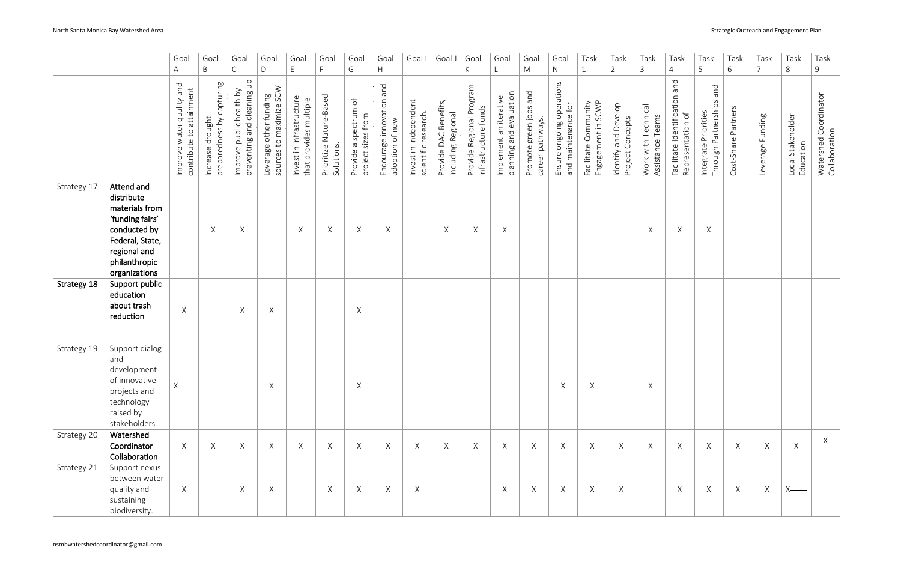|             |                                                                                                                                                    | Goal<br>A                                                | Goal<br>B                                                  | Goal<br>$\mathsf C$                                      | Goal<br>D                                         | Goal<br>E                                          | Goal<br>E                             | Goal<br>G                                                      | Goal<br>H                                      | Goal I                                        | Goal J                                      | Goal<br>К                                        | Goal                                                    | Goal<br>M                                     | Goal<br>N                                        | Task                                       | Task<br>$\overline{2}$                      | Task<br>3                               | Task<br>4                                             | Task<br>5                                              | Task<br>6           | Task<br>$\overline{7}$ | Task<br>8                      | Task<br>$9$                            |
|-------------|----------------------------------------------------------------------------------------------------------------------------------------------------|----------------------------------------------------------|------------------------------------------------------------|----------------------------------------------------------|---------------------------------------------------|----------------------------------------------------|---------------------------------------|----------------------------------------------------------------|------------------------------------------------|-----------------------------------------------|---------------------------------------------|--------------------------------------------------|---------------------------------------------------------|-----------------------------------------------|--------------------------------------------------|--------------------------------------------|---------------------------------------------|-----------------------------------------|-------------------------------------------------------|--------------------------------------------------------|---------------------|------------------------|--------------------------------|----------------------------------------|
|             |                                                                                                                                                    | Improve water quality and<br>attainment<br>contribute to | capturing<br>drought<br>$\geq$<br>preparedness<br>Increase | 을<br>Improve public health by<br>preventing and cleaning | sources to maximize SCW<br>Leverage other funding | Invest in infrastructure<br>that provides multiple | Prioritize Nature-Based<br>Solutions. | ЪĻ<br>spectrum<br>sizes from<br>$\varpi$<br>Provide<br>project | and<br>Encourage innovation<br>adoption of new | Invest in independent<br>scientific research. | Provide DAC Benefits,<br>including Regional | Provide Regional Program<br>infrastructure funds | evaluation<br>Implement an iterative<br>and<br>planning | green jobs and<br>career pathways.<br>Promote | Ensure ongoing operations<br>and maintenance for | Facilitate Community<br>Engagement in SCWP | Identify and Develop<br>Concepts<br>Project | Work with Technical<br>Assistance Teams | and<br>Facilitate Identification<br>Representation of | and<br>Through Partnerships<br>Priorities<br>Integrate | Cost-Share Partners | Funding<br>Leverage    | Local Stakeholder<br>Education | Watershed Coordinator<br>Collaboration |
| Strategy 17 | Attend and<br>distribute<br>materials from<br>'funding fairs'<br>conducted by<br>Federal, State,<br>regional and<br>philanthropic<br>organizations |                                                          | $\chi$                                                     | $\mathsf X$                                              |                                                   | $\chi$                                             | $\mathsf{X}$                          | $\times$                                                       | X                                              |                                               | X                                           | X                                                | $\mathsf X$                                             |                                               |                                                  |                                            |                                             | $\mathsf X$                             | X                                                     | X                                                      |                     |                        |                                |                                        |
| Strategy 18 | Support public<br>education<br>about trash<br>reduction                                                                                            | $\sf X$                                                  |                                                            | X                                                        | X                                                 |                                                    |                                       | $\times$                                                       |                                                |                                               |                                             |                                                  |                                                         |                                               |                                                  |                                            |                                             |                                         |                                                       |                                                        |                     |                        |                                |                                        |
| Strategy 19 | Support dialog<br>and<br>development<br>of innovative<br>projects and<br>technology<br>raised by<br>stakeholders                                   | $\mathsf X$                                              |                                                            |                                                          | $\sf X$                                           |                                                    |                                       | $\chi$                                                         |                                                |                                               |                                             |                                                  |                                                         |                                               | $\mathsf X$                                      | X                                          |                                             | $\mathsf X$                             |                                                       |                                                        |                     |                        |                                |                                        |
| Strategy 20 | Watershed<br>Coordinator<br>Collaboration                                                                                                          | $\times$                                                 | $\times$                                                   | $\times$                                                 | X                                                 | $\chi$                                             | X                                     | $\times$                                                       | X                                              | $\sf X$                                       | $\times$                                    | $\sf X$                                          | X                                                       | X                                             | $\mathsf X$                                      | X                                          | $\mathsf X$                                 | X                                       | $\times$                                              | X                                                      | $\mathsf X$         | $\sf X$                | $\times$                       | X                                      |
| Strategy 21 | Support nexus<br>between water<br>quality and<br>sustaining<br>biodiversity.                                                                       | $\times$                                                 |                                                            | $\times$                                                 | X                                                 |                                                    | X                                     | $\times$                                                       | $\sf X$                                        | $\times$                                      |                                             |                                                  | $\mathsf{X}$                                            | X                                             | $\times$                                         | X                                          | $\mathsf X$                                 |                                         | $\times$                                              | $\times$                                               | $\mathsf X$         | X                      | $x-$                           |                                        |